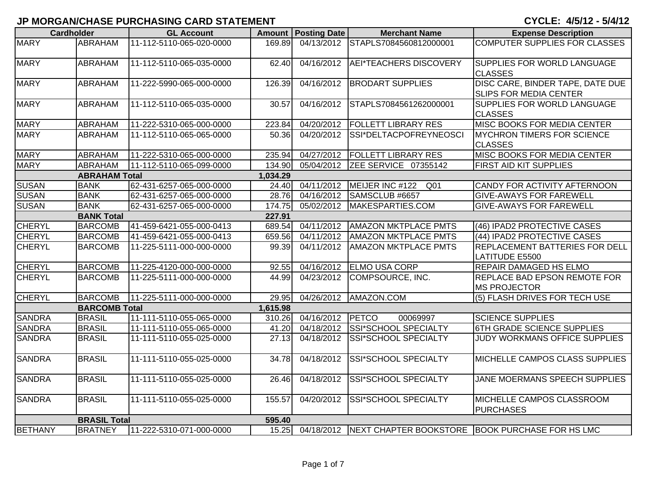## **JP MORGAN/CHASE PURCHASING CARD STATEMENT**

## **CYCLE: 4/5/12 - 5/4/12**

|                | <b>Cardholder</b>    | <b>GL Account</b>         |          | <b>Amount   Posting Date  </b> | <b>Merchant Name</b>          | <b>Expense Description</b>                                        |
|----------------|----------------------|---------------------------|----------|--------------------------------|-------------------------------|-------------------------------------------------------------------|
| <b>MARY</b>    | ABRAHAM              | 11-112-5110-065-020-0000  | 169.89   | 04/13/2012                     | STAPLS7084560812000001        | COMPUTER SUPPLIES FOR CLASSES                                     |
| <b>MARY</b>    | <b>ABRAHAM</b>       | 11-112-5110-065-035-0000  | 62.40    | 04/16/2012                     | <b>AEI*TEACHERS DISCOVERY</b> | <b>SUPPLIES FOR WORLD LANGUAGE</b><br><b>CLASSES</b>              |
| <b>MARY</b>    | <b>ABRAHAM</b>       | 11-222-5990-065-000-0000  | 126.39   | 04/16/2012                     | <b>BRODART SUPPLIES</b>       | DISC CARE, BINDER TAPE, DATE DUE<br><b>SLIPS FOR MEDIA CENTER</b> |
| <b>MARY</b>    | <b>ABRAHAM</b>       | 11-112-5110-065-035-0000  | 30.57    | 04/16/2012                     | STAPLS7084561262000001        | <b>SUPPLIES FOR WORLD LANGUAGE</b><br><b>CLASSES</b>              |
| <b>MARY</b>    | ABRAHAM              | 11-222-5310-065-000-0000  | 223.84   | 04/20/2012                     | <b>FOLLETT LIBRARY RES</b>    | <b>MISC BOOKS FOR MEDIA CENTER</b>                                |
| <b>MARY</b>    | ABRAHAM              | 11-112-5110-065-065-0000  | 50.36    | 04/20/2012                     | SSI*DELTACPOFREYNEOSCI        | <b>MYCHRON TIMERS FOR SCIENCE</b><br><b>CLASSES</b>               |
| <b>MARY</b>    | ABRAHAM              | 11-222-5310-065-000-0000  | 235.94   | 04/27/2012                     | <b>FOLLETT LIBRARY RES</b>    | <b>MISC BOOKS FOR MEDIA CENTER</b>                                |
| <b>MARY</b>    | ABRAHAM              | 11-112-5110-065-099-0000  | 134.90   | 05/04/2012                     | ZEE SERVICE 07355142          | <b>FIRST AID KIT SUPPLIES</b>                                     |
|                | <b>ABRAHAM Total</b> |                           | 1,034.29 |                                |                               |                                                                   |
| <b>SUSAN</b>   | <b>BANK</b>          | 62-431-6257-065-000-0000  | 24.40    | 04/11/2012                     | MEIJER INC #122<br>Q01        | CANDY FOR ACTIVITY AFTERNOON                                      |
| <b>SUSAN</b>   | <b>BANK</b>          | 62-431-6257-065-000-0000  | 28.76    | 04/16/2012                     | SAMSCLUB #6657                | <b>GIVE-AWAYS FOR FAREWELL</b>                                    |
| <b>SUSAN</b>   | <b>BANK</b>          | 62-431-6257-065-000-0000  | 174.75   | 05/02/2012                     | MAKESPARTIES.COM              | <b>GIVE-AWAYS FOR FAREWELL</b>                                    |
|                | <b>BANK Total</b>    |                           | 227.91   |                                |                               |                                                                   |
| <b>CHERYL</b>  | <b>BARCOMB</b>       | 41-459-6421-055-000-0413  | 689.54   | 04/11/2012                     | <b>AMAZON MKTPLACE PMTS</b>   | (46) IPAD2 PROTECTIVE CASES                                       |
| <b>CHERYL</b>  | <b>BARCOMB</b>       | 41-459-6421-055-000-0413  | 659.56   | 04/11/2012                     | <b>AMAZON MKTPLACE PMTS</b>   | (44) IPAD2 PROTECTIVE CASES                                       |
| <b>CHERYL</b>  | <b>BARCOMB</b>       | 11-225-5111-000-000-0000  | 99.39    | 04/11/2012                     | <b>AMAZON MKTPLACE PMTS</b>   | REPLACEMENT BATTERIES FOR DELL<br><b>LATITUDE E5500</b>           |
| <b>CHERYL</b>  | <b>BARCOMB</b>       | 11-225-4120-000-000-0000  | 92.55    | 04/16/2012                     | <b>ELMO USA CORP</b>          | REPAIR DAMAGED HS ELMO                                            |
| <b>CHERYL</b>  | <b>BARCOMB</b>       | 11-225-5111-000-000-0000  | 44.99    | 04/23/2012                     | COMPSOURCE, INC.              | REPLACE BAD EPSON REMOTE FOR<br><b>MS PROJECTOR</b>               |
| <b>CHERYL</b>  | <b>BARCOMB</b>       | 11-225-5111-000-000-0000  | 29.95    | 04/26/2012                     | AMAZON.COM                    | (5) FLASH DRIVES FOR TECH USE                                     |
|                | <b>BARCOMB Total</b> |                           | 1,615.98 |                                |                               |                                                                   |
| <b>SANDRA</b>  | <b>BRASIL</b>        | 11-111-5110-055-065-0000  | 310.26   | 04/16/2012                     | <b>PETCO</b><br>00069997      | <b>SCIENCE SUPPLIES</b>                                           |
| <b>SANDRA</b>  | <b>BRASIL</b>        | 11-111-5110-055-065-0000  | 41.20    | 04/18/2012                     | SSI*SCHOOL SPECIALTY          | <b>6TH GRADE SCIENCE SUPPLIES</b>                                 |
| <b>SANDRA</b>  | <b>BRASIL</b>        | 11-111-5110-055-025-0000  | 27.13    | 04/18/2012                     | SSI*SCHOOL SPECIALTY          | JUDY WORKMANS OFFICE SUPPLIES                                     |
| <b>SANDRA</b>  | <b>BRASIL</b>        | 11-111-5110-055-025-0000  | 34.78    | 04/18/2012                     | <b>SSI*SCHOOL SPECIALTY</b>   | MICHELLE CAMPOS CLASS SUPPLIES                                    |
| <b>SANDRA</b>  | <b>BRASIL</b>        | 11-111-5110-055-025-0000  | 26.46    | 04/18/2012                     | SSI*SCHOOL SPECIALTY          | JANE MOERMANS SPEECH SUPPLIES                                     |
| <b>SANDRA</b>  | <b>BRASIL</b>        | 11-111-5110-055-025-0000  | 155.57   | $\overline{04/2}0/2012$        | SSI*SCHOOL SPECIALTY          | MICHELLE CAMPOS CLASSROOM<br><b>PURCHASES</b>                     |
|                | <b>BRASIL Total</b>  |                           | 595.40   |                                |                               |                                                                   |
| <b>BETHANY</b> | <b>BRATNEY</b>       | 111-222-5310-071-000-0000 |          |                                |                               | 15.25 04/18/2012 INEXT CHAPTER BOOKSTORE BOOK PURCHASE FOR HS LMC |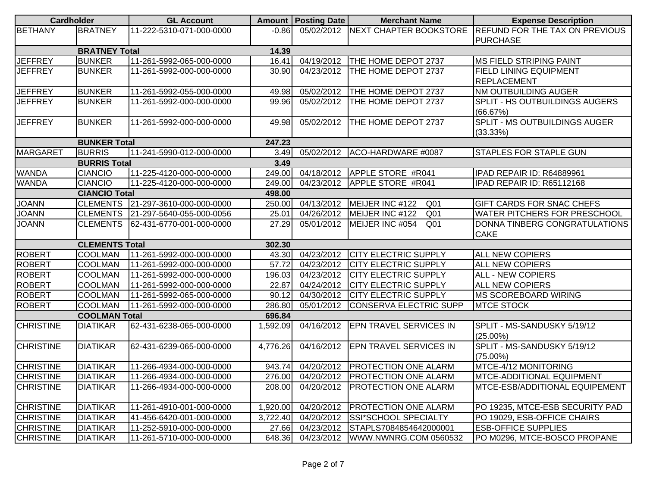| <b>Cardholder</b> |                       | <b>GL Account</b>         |          | Amount   Posting Date | <b>Merchant Name</b>                            | <b>Expense Description</b>            |
|-------------------|-----------------------|---------------------------|----------|-----------------------|-------------------------------------------------|---------------------------------------|
| <b>BETHANY</b>    | <b>BRATNEY</b>        | 11-222-5310-071-000-0000  | $-0.86$  |                       | 05/02/2012 NEXT CHAPTER BOOKSTORE               | <b>REFUND FOR THE TAX ON PREVIOUS</b> |
|                   |                       |                           |          |                       |                                                 | <b>PURCHASE</b>                       |
|                   | <b>BRATNEY Total</b>  |                           | 14.39    |                       |                                                 |                                       |
| <b>JEFFREY</b>    | <b>BUNKER</b>         | 11-261-5992-065-000-0000  | 16.41    | 04/19/2012            | <b>THE HOME DEPOT 2737</b>                      | <b>IMS FIELD STRIPING PAINT</b>       |
| <b>JEFFREY</b>    | <b>BUNKER</b>         | 11-261-5992-000-000-0000  | 30.90    | 04/23/2012            | THE HOME DEPOT 2737                             | <b>FIELD LINING EQUIPMENT</b>         |
|                   |                       |                           |          |                       |                                                 | <b>REPLACEMENT</b>                    |
| <b>JEFFREY</b>    | <b>BUNKER</b>         | 11-261-5992-055-000-0000  | 49.98    | 05/02/2012            | THE HOME DEPOT 2737                             | NM OUTBUILDING AUGER                  |
| <b>JEFFREY</b>    | <b>BUNKER</b>         | 111-261-5992-000-000-0000 | 99.96    | 05/02/2012            | THE HOME DEPOT 2737                             | <b>SPLIT - HS OUTBUILDINGS AUGERS</b> |
|                   |                       |                           |          |                       |                                                 | (66.67%)                              |
| <b>JEFFREY</b>    | <b>BUNKER</b>         | 11-261-5992-000-000-0000  | 49.98    | 05/02/2012            | THE HOME DEPOT 2737                             | <b>SPLIT - MS OUTBUILDINGS AUGER</b>  |
|                   |                       |                           |          |                       |                                                 | (33.33%)                              |
|                   | <b>BUNKER Total</b>   |                           | 247.23   |                       |                                                 |                                       |
| <b>MARGARET</b>   | <b>BURRIS</b>         | 11-241-5990-012-000-0000  | 3.49     |                       | 05/02/2012 ACO-HARDWARE #0087                   | <b>STAPLES FOR STAPLE GUN</b>         |
|                   | <b>BURRIS Total</b>   |                           | 3.49     |                       |                                                 |                                       |
| <b>WANDA</b>      | <b>CIANCIO</b>        | 11-225-4120-000-000-0000  | 249.00   |                       | 04/18/2012 APPLE STORE #R041                    | IPAD REPAIR ID: R64889961             |
| <b>WANDA</b>      | <b>CIANCIO</b>        | 11-225-4120-000-000-0000  | 249.00   |                       | 04/23/2012 APPLE STORE #R041                    | IPAD REPAIR ID: R65112168             |
|                   | <b>CIANCIO Total</b>  |                           | 498.00   |                       |                                                 |                                       |
| <b>JOANN</b>      | <b>CLEMENTS</b>       | 21-297-3610-000-000-0000  | 250.00   |                       | 04/13/2012 MEIJER INC #122<br>Q <sub>01</sub>   | <b>GIFT CARDS FOR SNAC CHEFS</b>      |
| <b>JOANN</b>      | <b>CLEMENTS</b>       | 21-297-5640-055-000-0056  | 25.01    |                       | 04/26/2012   MEIJER INC #122<br>Q <sub>01</sub> | <b>WATER PITCHERS FOR PRESCHOOL</b>   |
| <b>JOANN</b>      | <b>CLEMENTS</b>       | 62-431-6770-001-000-0000  | 27.29    | 05/01/2012            | MEIJER INC #054<br>Q <sub>01</sub>              | DONNA TINBERG CONGRATULATIONS         |
|                   |                       |                           |          |                       |                                                 | <b>CAKE</b>                           |
|                   | <b>CLEMENTS Total</b> |                           | 302.30   |                       |                                                 |                                       |
| <b>ROBERT</b>     | <b>COOLMAN</b>        | 11-261-5992-000-000-0000  | 43.30    | 04/23/2012            | <b>CITY ELECTRIC SUPPLY</b>                     | <b>ALL NEW COPIERS</b>                |
| <b>ROBERT</b>     | <b>COOLMAN</b>        | 11-261-5992-000-000-0000  | 57.72    | 04/23/2012            | <b>CITY ELECTRIC SUPPLY</b>                     | <b>ALL NEW COPIERS</b>                |
| <b>ROBERT</b>     | <b>COOLMAN</b>        | 11-261-5992-000-000-0000  | 196.03   | 04/23/2012            | <b>CITY ELECTRIC SUPPLY</b>                     | <b>ALL - NEW COPIERS</b>              |
| <b>ROBERT</b>     | <b>COOLMAN</b>        | 11-261-5992-000-000-0000  | 22.87    | 04/24/2012            | <b>CITY ELECTRIC SUPPLY</b>                     | <b>ALL NEW COPIERS</b>                |
| <b>ROBERT</b>     | <b>COOLMAN</b>        | 11-261-5992-065-000-0000  | 90.12    | 04/30/2012            | <b>CITY ELECTRIC SUPPLY</b>                     | <b>MS SCOREBOARD WIRING</b>           |
| <b>ROBERT</b>     | <b>COOLMAN</b>        | 11-261-5992-000-000-0000  | 286.80   |                       | 05/01/2012 CONSERVA ELECTRIC SUPP               | <b>MTCE STOCK</b>                     |
|                   | <b>COOLMAN Total</b>  |                           | 696.84   |                       |                                                 |                                       |
| <b>CHRISTINE</b>  | <b>DIATIKAR</b>       | 62-431-6238-065-000-0000  | 1,592.09 | 04/16/2012            | <b>EPN TRAVEL SERVICES IN</b>                   | SPLIT - MS-SANDUSKY 5/19/12           |
|                   |                       |                           |          |                       |                                                 | $(25.00\%)$                           |
| <b>CHRISTINE</b>  | <b>DIATIKAR</b>       | 62-431-6239-065-000-0000  | 4,776.26 | 04/16/2012            | <b>EPN TRAVEL SERVICES IN</b>                   | SPLIT - MS-SANDUSKY 5/19/12           |
|                   |                       |                           |          |                       |                                                 | $(75.00\%)$                           |
| <b>CHRISTINE</b>  | <b>DIATIKAR</b>       | 11-266-4934-000-000-0000  | 943.74   |                       | 04/20/2012   PROTECTION ONE ALARM               | MTCE-4/12 MONITORING                  |
| <b>CHRISTINE</b>  | <b>DIATIKAR</b>       | 11-266-4934-000-000-0000  | 276.00   |                       | 04/20/2012 PROTECTION ONE ALARM                 | <b>IMTCE-ADDITIONAL EQUIPMENT</b>     |
| <b>CHRISTINE</b>  | <b>DIATIKAR</b>       | 11-266-4934-000-000-0000  | 208.00   | 04/20/2012            | <b>PROTECTION ONE ALARM</b>                     | <b>MTCE-ESB/ADDITIONAL EQUIPEMENT</b> |
|                   |                       |                           |          |                       |                                                 |                                       |
| <b>CHRISTINE</b>  | <b>DIATIKAR</b>       | 11-261-4910-001-000-0000  | 1,920.00 |                       | 04/20/2012   PROTECTION ONE ALARM               | PO 19235, MTCE-ESB SECURITY PAD       |
| <b>CHRISTINE</b>  | <b>DIATIKAR</b>       | 41-456-6420-001-000-0000  | 3,722.40 | 04/20/2012            | <b>SSI*SCHOOL SPECIALTY</b>                     | PO 19029, ESB-OFFICE CHAIRS           |
| <b>CHRISTINE</b>  | <b>DIATIKAR</b>       | 11-252-5910-000-000-0000  | 27.66    | 04/23/2012            | STAPLS7084854642000001                          | <b>ESB-OFFICE SUPPLIES</b>            |
| <b>CHRISTINE</b>  | <b>DIATIKAR</b>       | 11-261-5710-000-000-0000  | 648.36   | 04/23/2012            | WWW.NWNRG.COM 0560532                           | PO M0296, MTCE-BOSCO PROPANE          |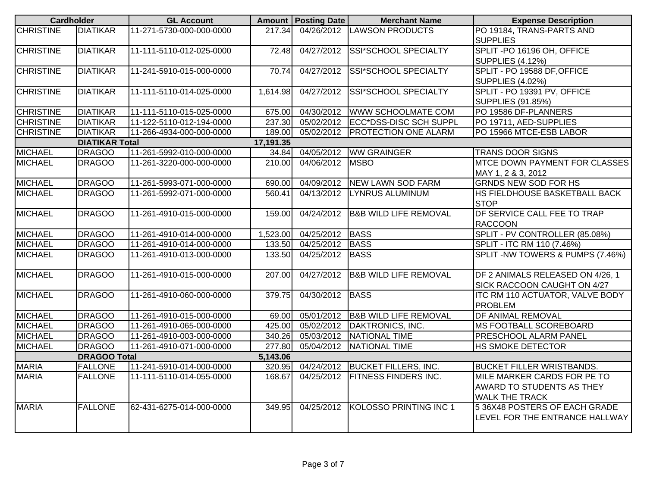| <b>Cardholder</b> |                       | <b>GL Account</b>        |           | Amount   Posting Date | <b>Merchant Name</b>              | <b>Expense Description</b>           |
|-------------------|-----------------------|--------------------------|-----------|-----------------------|-----------------------------------|--------------------------------------|
| <b>CHRISTINE</b>  | <b>DIATIKAR</b>       | 11-271-5730-000-000-0000 | 217.34    |                       | 04/26/2012 LAWSON PRODUCTS        | PO 19184, TRANS-PARTS AND            |
|                   |                       |                          |           |                       |                                   | <b>SUPPLIES</b>                      |
| <b>CHRISTINE</b>  | <b>DIATIKAR</b>       | 11-111-5110-012-025-0000 | 72.48     | 04/27/2012            | <b>SSI*SCHOOL SPECIALTY</b>       | SPLIT-PO 16196 OH, OFFICE            |
|                   |                       |                          |           |                       |                                   | SUPPLIES (4.12%)                     |
| <b>CHRISTINE</b>  | <b>DIATIKAR</b>       | 11-241-5910-015-000-0000 | 70.74     | 04/27/2012            | SSI*SCHOOL SPECIALTY              | SPLIT - PO 19588 DF, OFFICE          |
|                   |                       |                          |           |                       |                                   | <b>SUPPLIES (4.02%)</b>              |
| <b>CHRISTINE</b>  | <b>DIATIKAR</b>       | 11-111-5110-014-025-0000 | 1,614.98  | 04/27/2012            | <b>SSI*SCHOOL SPECIALTY</b>       | SPLIT - PO 19391 PV, OFFICE          |
|                   |                       |                          |           |                       |                                   | <b>SUPPLIES (91.85%)</b>             |
| <b>CHRISTINE</b>  | <b>DIATIKAR</b>       | 11-111-5110-015-025-0000 | 675.00    |                       | 04/30/2012 WWW SCHOOLMATE COM     | PO 19586 DF-PLANNERS                 |
| <b>CHRISTINE</b>  | <b>DIATIKAR</b>       | 11-122-5110-012-194-0000 | 237.30    |                       | 05/02/2012 ECC*DSS-DISC SCH SUPPL | PO 19711, AED-SUPPLIES               |
| <b>CHRISTINE</b>  | <b>DIATIKAR</b>       | 11-266-4934-000-000-0000 | 189.00    | 05/02/2012            | <b>PROTECTION ONE ALARM</b>       | PO 15966 MTCE-ESB LABOR              |
|                   | <b>DIATIKAR Total</b> |                          | 17,191.35 |                       |                                   |                                      |
| <b>MICHAEL</b>    | <b>DRAGOO</b>         | 11-261-5992-010-000-0000 | 34.84     |                       | 04/05/2012   WW GRAINGER          | <b>TRANS DOOR SIGNS</b>              |
| <b>MICHAEL</b>    | <b>DRAGOO</b>         | 11-261-3220-000-000-0000 | 210.00    | 04/06/2012            | <b>MSBO</b>                       | <b>MTCE DOWN PAYMENT FOR CLASSES</b> |
|                   |                       |                          |           |                       |                                   | MAY 1, 2 & 3, 2012                   |
| <b>MICHAEL</b>    | <b>DRAGOO</b>         | 11-261-5993-071-000-0000 | 690.00    |                       | 04/09/2012 NEW LAWN SOD FARM      | <b>GRNDS NEW SOD FOR HS</b>          |
| <b>MICHAEL</b>    | <b>DRAGOO</b>         | 11-261-5992-071-000-0000 | 560.41    | 04/13/2012            | <b>LYNRUS ALUMINUM</b>            | HS FIELDHOUSE BASKETBALL BACK        |
|                   |                       |                          |           |                       |                                   | <b>STOP</b>                          |
| <b>MICHAEL</b>    | <b>DRAGOO</b>         | 11-261-4910-015-000-0000 | 159.00    | 04/24/2012            | <b>B&amp;B WILD LIFE REMOVAL</b>  | DF SERVICE CALL FEE TO TRAP          |
|                   |                       |                          |           |                       |                                   | <b>RACCOON</b>                       |
| <b>MICHAEL</b>    | <b>DRAGOO</b>         | 11-261-4910-014-000-0000 | 1,523.00  | 04/25/2012 BASS       |                                   | SPLIT - PV CONTROLLER (85.08%)       |
| <b>MICHAEL</b>    | <b>DRAGOO</b>         | 11-261-4910-014-000-0000 | 133.50    | 04/25/2012 BASS       |                                   | SPLIT - ITC RM 110 (7.46%)           |
| <b>MICHAEL</b>    | <b>DRAGOO</b>         | 11-261-4910-013-000-0000 | 133.50    | 04/25/2012 BASS       |                                   | SPLIT-NW TOWERS & PUMPS (7.46%)      |
|                   |                       |                          |           |                       |                                   |                                      |
| <b>MICHAEL</b>    | <b>DRAGOO</b>         | 11-261-4910-015-000-0000 | 207.00    | 04/27/2012            | <b>B&amp;B WILD LIFE REMOVAL</b>  | DF 2 ANIMALS RELEASED ON 4/26, 1     |
|                   |                       |                          |           |                       |                                   | SICK RACCOON CAUGHT ON 4/27          |
| <b>MICHAEL</b>    | <b>DRAGOO</b>         | 11-261-4910-060-000-0000 | 379.75    | 04/30/2012            | <b>BASS</b>                       | ITC RM 110 ACTUATOR, VALVE BODY      |
|                   |                       |                          |           |                       |                                   | <b>PROBLEM</b>                       |
| <b>MICHAEL</b>    | <b>DRAGOO</b>         | 11-261-4910-015-000-0000 | 69.00     |                       | 05/01/2012 B&B WILD LIFE REMOVAL  | DF ANIMAL REMOVAL                    |
| <b>MICHAEL</b>    | <b>DRAGOO</b>         | 11-261-4910-065-000-0000 | 425.00    |                       | 05/02/2012   DAKTRONICS, INC.     | <b>IMS FOOTBALL SCOREBOARD</b>       |
| <b>MICHAEL</b>    | <b>DRAGOO</b>         | 11-261-4910-003-000-0000 | 340.26    |                       | 05/03/2012 NATIONAL TIME          | <b>PRESCHOOL ALARM PANEL</b>         |
| <b>MICHAEL</b>    | <b>DRAGOO</b>         | 11-261-4910-071-000-0000 | 277.80    |                       | 05/04/2012 NATIONAL TIME          | <b>HS SMOKE DETECTOR</b>             |
|                   | <b>DRAGOO Total</b>   |                          | 5,143.06  |                       |                                   |                                      |
| <b>MARIA</b>      | <b>FALLONE</b>        | 11-241-5910-014-000-0000 | 320.95    |                       | 04/24/2012 BUCKET FILLERS, INC.   | <b>BUCKET FILLER WRISTBANDS.</b>     |
| <b>MARIA</b>      | <b>FALLONE</b>        | 11-111-5110-014-055-0000 | 168.67    |                       | 04/25/2012   FITNESS FINDERS INC. | MILE MARKER CARDS FOR PE TO          |
|                   |                       |                          |           |                       |                                   | AWARD TO STUDENTS AS THEY            |
|                   |                       |                          |           |                       |                                   | <b>WALK THE TRACK</b>                |
| <b>MARIA</b>      | <b>FALLONE</b>        | 62-431-6275-014-000-0000 | 349.95    |                       | 04/25/2012 KOLOSSO PRINTING INC 1 | 5 36X48 POSTERS OF EACH GRADE        |
|                   |                       |                          |           |                       |                                   | LEVEL FOR THE ENTRANCE HALLWAY       |
|                   |                       |                          |           |                       |                                   |                                      |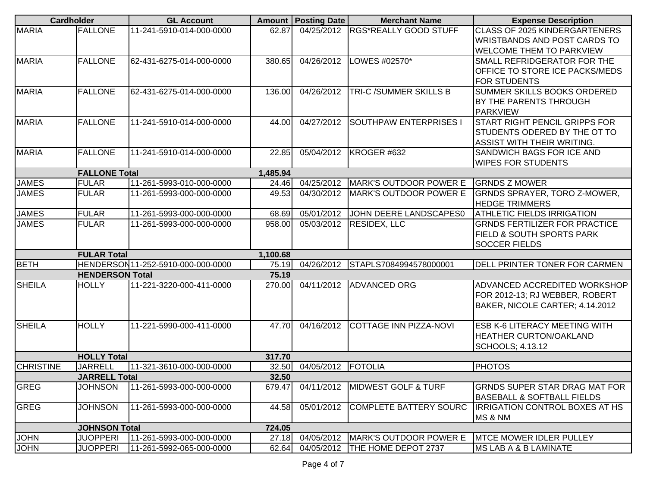| <b>Cardholder</b>  |                        | <b>GL Account</b>                 |          | <b>Amount   Posting Date</b> | <b>Merchant Name</b>             | <b>Expense Description</b>            |
|--------------------|------------------------|-----------------------------------|----------|------------------------------|----------------------------------|---------------------------------------|
| <b>MARIA</b>       | <b>FALLONE</b>         | 11-241-5910-014-000-0000          | 62.87    |                              | 04/25/2012 RGS*REALLY GOOD STUFF | <b>CLASS OF 2025 KINDERGARTENERS</b>  |
|                    |                        |                                   |          |                              |                                  | <b>WRISTBANDS AND POST CARDS TO</b>   |
|                    |                        |                                   |          |                              |                                  | <b>WELCOME THEM TO PARKVIEW</b>       |
| <b>MARIA</b>       | <b>FALLONE</b>         | 62-431-6275-014-000-0000          | 380.65   | 04/26/2012                   | LOWES #02570*                    | SMALL REFRIDGERATOR FOR THE           |
|                    |                        |                                   |          |                              |                                  | OFFICE TO STORE ICE PACKS/MEDS        |
|                    |                        |                                   |          |                              |                                  | <b>FOR STUDENTS</b>                   |
| <b>MARIA</b>       | <b>FALLONE</b>         | 62-431-6275-014-000-0000          | 136.00   | 04/26/2012                   | TRI-C /SUMMER SKILLS B           | SUMMER SKILLS BOOKS ORDERED           |
|                    |                        |                                   |          |                              |                                  | BY THE PARENTS THROUGH                |
|                    |                        |                                   |          |                              |                                  | <b>PARKVIEW</b>                       |
| <b>MARIA</b>       | <b>FALLONE</b>         | 11-241-5910-014-000-0000          | 44.00    | 04/27/2012                   | <b>SOUTHPAW ENTERPRISES I</b>    | <b>START RIGHT PENCIL GRIPPS FOR</b>  |
|                    |                        |                                   |          |                              |                                  | STUDENTS ODERED BY THE OT TO          |
|                    |                        |                                   |          |                              |                                  | <b>ASSIST WITH THEIR WRITING.</b>     |
| <b>MARIA</b>       | <b>FALLONE</b>         | 11-241-5910-014-000-0000          | 22.85    | 05/04/2012                   | KROGER #632                      | <b>SANDWICH BAGS FOR ICE AND</b>      |
|                    |                        |                                   |          |                              |                                  | <b>WIPES FOR STUDENTS</b>             |
|                    | <b>FALLONE Total</b>   |                                   | 1,485.94 |                              |                                  |                                       |
| <b>JAMES</b>       | <b>FULAR</b>           | 11-261-5993-010-000-0000          | 24.46    | 04/25/2012                   | MARK'S OUTDOOR POWER E           | <b>GRNDS Z MOWER</b>                  |
| <b>JAMES</b>       | <b>FULAR</b>           | 11-261-5993-000-000-0000          | 49.53    | 04/30/2012                   | <b>MARK'S OUTDOOR POWER E</b>    | GRNDS SPRAYER, TORO Z-MOWER,          |
|                    |                        |                                   |          |                              |                                  | <b>HEDGE TRIMMERS</b>                 |
| <b>JAMES</b>       | <b>FULAR</b>           | 11-261-5993-000-000-0000          | 68.69    | 05/01/2012                   | JOHN DEERE LANDSCAPES0           | <b>ATHLETIC FIELDS IRRIGATION</b>     |
| <b>JAMES</b>       | <b>FULAR</b>           | 11-261-5993-000-000-0000          | 958.00   | 05/03/2012                   | <b>RESIDEX, LLC</b>              | <b>GRNDS FERTILIZER FOR PRACTICE</b>  |
|                    |                        |                                   |          |                              |                                  | <b>FIELD &amp; SOUTH SPORTS PARK</b>  |
|                    |                        |                                   |          |                              |                                  | <b>SOCCER FIELDS</b>                  |
| <b>FULAR Total</b> |                        |                                   | 1,100.68 |                              |                                  |                                       |
| <b>BETH</b>        |                        | HENDERSON11-252-5910-000-000-0000 | 75.19    | 04/26/2012                   | STAPLS7084994578000001           | DELL PRINTER TONER FOR CARMEN         |
|                    | <b>HENDERSON Total</b> |                                   | 75.19    |                              |                                  |                                       |
| <b>SHEILA</b>      | <b>HOLLY</b>           | 11-221-3220-000-411-0000          | 270.00   |                              | 04/11/2012 ADVANCED ORG          | ADVANCED ACCREDITED WORKSHOP          |
|                    |                        |                                   |          |                              |                                  | FOR 2012-13; RJ WEBBER, ROBERT        |
|                    |                        |                                   |          |                              |                                  | BAKER, NICOLE CARTER; 4.14.2012       |
| <b>SHEILA</b>      | <b>HOLLY</b>           | 11-221-5990-000-411-0000          | 47.70    | 04/16/2012                   | <b>COTTAGE INN PIZZA-NOVI</b>    | <b>ESB K-6 LITERACY MEETING WITH</b>  |
|                    |                        |                                   |          |                              |                                  | <b>HEATHER CURTON/OAKLAND</b>         |
|                    |                        |                                   |          |                              |                                  | SCHOOLS; 4.13.12                      |
|                    | <b>HOLLY Total</b>     |                                   | 317.70   |                              |                                  |                                       |
| <b>CHRISTINE</b>   | <b>JARRELL</b>         | 11-321-3610-000-000-0000          | 32.50    | 04/05/2012                   | <b>FOTOLIA</b>                   | <b>PHOTOS</b>                         |
|                    | <b>JARRELL Total</b>   |                                   | 32.50    |                              |                                  |                                       |
| <b>GREG</b>        | <b>JOHNSON</b>         | 11-261-5993-000-000-0000          | 679.47   | 04/11/2012                   | <b>MIDWEST GOLF &amp; TURF</b>   | <b>GRNDS SUPER STAR DRAG MAT FOR</b>  |
|                    |                        |                                   |          |                              |                                  | <b>BASEBALL &amp; SOFTBALL FIELDS</b> |
| GREG               | <b>JOHNSON</b>         | 11-261-5993-000-000-0000          | 44.58    | 05/01/2012                   | COMPLETE BATTERY SOURC           | <b>IRRIGATION CONTROL BOXES AT HS</b> |
|                    |                        |                                   |          |                              |                                  | MS & NM                               |
|                    | <b>JOHNSON Total</b>   |                                   | 724.05   |                              |                                  |                                       |
| <b>JOHN</b>        | <b>JUOPPERI</b>        | 11-261-5993-000-000-0000          | 27.18    | 04/05/2012                   | MARK'S OUTDOOR POWER E           | <b>MTCE MOWER IDLER PULLEY</b>        |
| <b>JOHN</b>        | <b>JUOPPERI</b>        | 11-261-5992-065-000-0000          | 62.64    | 04/05/2012                   | <b>THE HOME DEPOT 2737</b>       | <b>MS LAB A &amp; B LAMINATE</b>      |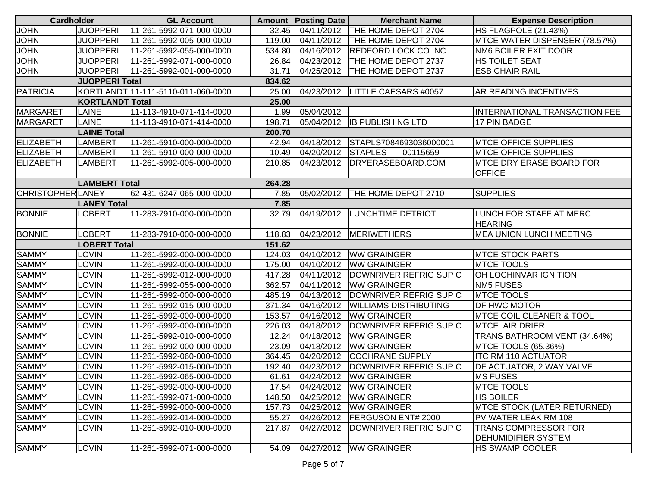| <b>Cardholder</b>        |                        | <b>GL Account</b>                 |        | Amount   Posting Date | <b>Merchant Name</b>              | <b>Expense Description</b>           |
|--------------------------|------------------------|-----------------------------------|--------|-----------------------|-----------------------------------|--------------------------------------|
| <b>JOHN</b>              | <b>JUOPPERI</b>        | 11-261-5992-071-000-0000          | 32.45  |                       | 04/11/2012 THE HOME DEPOT 2704    | HS FLAGPOLE (21.43%)                 |
| <b>JOHN</b>              | <b>JUOPPERI</b>        | 11-261-5992-005-000-0000          | 119.00 | 04/11/2012            | THE HOME DEPOT 2704               | MTCE WATER DISPENSER (78.57%)        |
| <b>JOHN</b>              | <b>JUOPPERI</b>        | 11-261-5992-055-000-0000          | 534.80 | 04/16/2012            | <b>REDFORD LOCK CO INC</b>        | <b>NM6 BOILER EXIT DOOR</b>          |
| <b>JOHN</b>              | <b>JUOPPERI</b>        | 11-261-5992-071-000-0000          | 26.84  |                       | 04/23/2012   THE HOME DEPOT 2737  | <b>HS TOILET SEAT</b>                |
| <b>JOHN</b>              | <b>JUOPPERI</b>        | 11-261-5992-001-000-0000          | 31.71  | 04/25/2012            | THE HOME DEPOT 2737               | <b>ESB CHAIR RAIL</b>                |
|                          | <b>JUOPPERI Total</b>  |                                   | 834.62 |                       |                                   |                                      |
| <b>PATRICIA</b>          |                        | KORTLANDT11-111-5110-011-060-0000 | 25.00  |                       | 04/23/2012   LITTLE CAESARS #0057 | <b>AR READING INCENTIVES</b>         |
|                          | <b>KORTLANDT Total</b> |                                   | 25.00  |                       |                                   |                                      |
| <b>MARGARET</b>          | <b>LAINE</b>           | 11-113-4910-071-414-0000          | 1.99   | 05/04/2012            |                                   | <b>INTERNATIONAL TRANSACTION FEE</b> |
| <b>MARGARET</b>          | <b>LAINE</b>           | 11-113-4910-071-414-0000          | 198.71 |                       | 05/04/2012 IB PUBLISHING LTD      | 17 PIN BADGE                         |
|                          | <b>LAINE Total</b>     |                                   | 200.70 |                       |                                   |                                      |
| <b>ELIZABETH</b>         | <b>LAMBERT</b>         | 11-261-5910-000-000-0000          | 42.94  | 04/18/2012            | STAPLS7084693036000001            | <b>MTCE OFFICE SUPPLIES</b>          |
| <b>ELIZABETH</b>         | <b>LAMBERT</b>         | 11-261-5910-000-000-0000          | 10.49  | 04/20/2012            | <b>STAPLES</b><br>00115659        | <b>MTCE OFFICE SUPPLIES</b>          |
| <b>ELIZABETH</b>         | <b>LAMBERT</b>         | 11-261-5992-005-000-0000          | 210.85 | 04/23/2012            | DRYERASEBOARD.COM                 | <b>MTCE DRY ERASE BOARD FOR</b>      |
|                          |                        |                                   |        |                       |                                   | <b>OFFICE</b>                        |
|                          | <b>LAMBERT Total</b>   |                                   | 264.28 |                       |                                   |                                      |
| <b>CHRISTOPHER LANEY</b> |                        | 62-431-6247-065-000-0000          | 7.85   | 05/02/2012            | THE HOME DEPOT 2710               | <b>SUPPLIES</b>                      |
|                          | <b>LANEY Total</b>     |                                   | 7.85   |                       |                                   |                                      |
| <b>BONNIE</b>            | <b>LOBERT</b>          | 11-283-7910-000-000-0000          | 32.79  | 04/19/2012            | <b>LUNCHTIME DETRIOT</b>          | LUNCH FOR STAFF AT MERC              |
|                          |                        |                                   |        |                       |                                   | <b>HEARING</b>                       |
| <b>BONNIE</b>            | <b>LOBERT</b>          | 11-283-7910-000-000-0000          | 118.83 |                       | 04/23/2012   MERIWETHERS          | <b>MEA UNION LUNCH MEETING</b>       |
|                          | <b>LOBERT Total</b>    |                                   | 151.62 |                       |                                   |                                      |
| <b>SAMMY</b>             | <b>LOVIN</b>           | 11-261-5992-000-000-0000          | 124.03 |                       | 04/10/2012   WW GRAINGER          | <b>MTCE STOCK PARTS</b>              |
| <b>SAMMY</b>             | <b>LOVIN</b>           | 11-261-5992-000-000-0000          | 175.00 | 04/10/2012            | <b>WW GRAINGER</b>                | <b>MTCE TOOLS</b>                    |
| <b>SAMMY</b>             | <b>LOVIN</b>           | 11-261-5992-012-000-0000          | 417.28 | 04/11/2012            | DOWNRIVER REFRIG SUP C            | OH LOCHINVAR IGNITION                |
| <b>SAMMY</b>             | <b>LOVIN</b>           | 11-261-5992-055-000-0000          | 362.57 | 04/11/2012            | <b>WW GRAINGER</b>                | <b>NM5 FUSES</b>                     |
| <b>SAMMY</b>             | <b>LOVIN</b>           | 11-261-5992-000-000-0000          | 485.19 | 04/13/2012            | DOWNRIVER REFRIG SUP C            | <b>MTCE TOOLS</b>                    |
| <b>SAMMY</b>             | <b>LOVIN</b>           | 11-261-5992-015-000-0000          | 371.34 | 04/16/2012            | <b>WILLIAMS DISTRIBUTING-</b>     | <b>DF HWC MOTOR</b>                  |
| <b>SAMMY</b>             | <b>LOVIN</b>           | 11-261-5992-000-000-0000          | 153.57 | 04/16/2012            | <b>WW GRAINGER</b>                | <b>IMTCE COIL CLEANER &amp; TOOL</b> |
| <b>SAMMY</b>             | <b>LOVIN</b>           | 11-261-5992-000-000-0000          | 226.03 | 04/18/2012            | DOWNRIVER REFRIG SUP C            | MTCE AIR DRIER                       |
| <b>SAMMY</b>             | <b>LOVIN</b>           | 11-261-5992-010-000-0000          | 12.24  | 04/18/2012            | <b>WW GRAINGER</b>                | TRANS BATHROOM VENT (34.64%)         |
| <b>SAMMY</b>             | <b>LOVIN</b>           | 11-261-5992-000-000-0000          | 23.09  | 04/18/2012            | <b>WW GRAINGER</b>                | MTCE TOOLS (65.36%)                  |
| <b>SAMMY</b>             | <b>LOVIN</b>           | 11-261-5992-060-000-0000          | 364.45 | 04/20/2012            | <b>COCHRANE SUPPLY</b>            | <b>ITC RM 110 ACTUATOR</b>           |
| <b>SAMMY</b>             | <b>LOVIN</b>           | 11-261-5992-015-000-0000          | 192.40 | 04/23/2012            | DOWNRIVER REFRIG SUP C            | DF ACTUATOR, 2 WAY VALVE             |
| <b>SAMMY</b>             | <b>LOVIN</b>           | 11-261-5992-065-000-0000          |        |                       | 61.61 04/24/2012 WW GRAINGER      | <b>MS FUSES</b>                      |
| <b>SAMMY</b>             | <b>LOVIN</b>           | 11-261-5992-000-000-0000          | 17.54  |                       | 04/24/2012   WW GRAINGER          | <b>MTCE TOOLS</b>                    |
| <b>SAMMY</b>             | LOVIN                  | 11-261-5992-071-000-0000          | 148.50 | 04/25/2012            | <b>WW GRAINGER</b>                | <b>HS BOILER</b>                     |
| <b>SAMMY</b>             | <b>LOVIN</b>           | 11-261-5992-000-000-0000          | 157.73 | 04/25/2012            | <b>WW GRAINGER</b>                | <b>IMTCE STOCK (LATER RETURNED)</b>  |
| <b>SAMMY</b>             | <b>LOVIN</b>           | 11-261-5992-014-000-0000          | 55.27  | 04/26/2012            | <b>FERGUSON ENT# 2000</b>         | PV WATER LEAK RM 108                 |
| <b>SAMMY</b>             | <b>LOVIN</b>           | 11-261-5992-010-000-0000          | 217.87 | 04/27/2012            | DOWNRIVER REFRIG SUP C            | <b>TRANS COMPRESSOR FOR</b>          |
|                          |                        |                                   |        |                       |                                   | <b>DEHUMIDIFIER SYSTEM</b>           |
| <b>SAMMY</b>             | <b>LOVIN</b>           | 11-261-5992-071-000-0000          | 54.09  |                       | 04/27/2012   WW GRAINGER          | <b>HS SWAMP COOLER</b>               |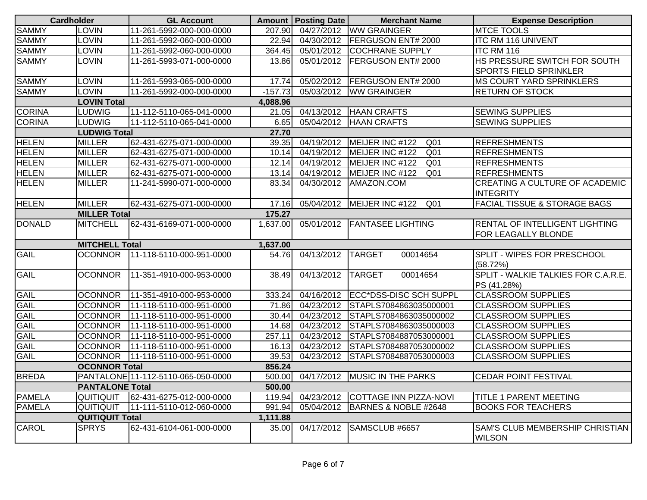| <b>Cardholder</b> |                               | <b>GL Account</b>                  |           | Amount   Posting Date | <b>Merchant Name</b>                 | <b>Expense Description</b>                       |  |  |
|-------------------|-------------------------------|------------------------------------|-----------|-----------------------|--------------------------------------|--------------------------------------------------|--|--|
| <b>SAMMY</b>      | <b>LOVIN</b>                  | 11-261-5992-000-000-0000           | 207.90    |                       | 04/27/2012   WW GRAINGER             | <b>MTCE TOOLS</b>                                |  |  |
| <b>SAMMY</b>      | <b>LOVIN</b>                  | 11-261-5992-060-000-0000           | 22.94     | 04/30/2012            | <b>FERGUSON ENT# 2000</b>            | <b>ITC RM 116 UNIVENT</b>                        |  |  |
| <b>SAMMY</b>      | <b>LOVIN</b>                  | 11-261-5992-060-000-0000           | 364.45    | 05/01/2012            | <b>COCHRANE SUPPLY</b>               | <b>ITC RM 116</b>                                |  |  |
| <b>SAMMY</b>      | <b>LOVIN</b>                  | 11-261-5993-071-000-0000           | 13.86     | 05/01/2012            | <b>FERGUSON ENT# 2000</b>            | HS PRESSURE SWITCH FOR SOUTH                     |  |  |
|                   |                               |                                    |           |                       |                                      | SPORTS FIELD SPRINKLER                           |  |  |
| <b>SAMMY</b>      | <b>LOVIN</b>                  | 11-261-5993-065-000-0000           | 17.74     |                       | 05/02/2012   FERGUSON ENT# 2000      | <b>MS COURT YARD SPRINKLERS</b>                  |  |  |
| <b>SAMMY</b>      | <b>LOVIN</b>                  | 11-261-5992-000-000-0000           | $-157.73$ | 05/03/2012            | <b>WW GRAINGER</b>                   | <b>RETURN OF STOCK</b>                           |  |  |
|                   | <b>LOVIN Total</b>            |                                    | 4,088.96  |                       |                                      |                                                  |  |  |
| <b>CORINA</b>     | LUDWIG                        | 11-112-5110-065-041-0000           | 21.05     | 04/13/2012            | <b>HAAN CRAFTS</b>                   | <b>SEWING SUPPLIES</b>                           |  |  |
| <b>CORINA</b>     | <b>LUDWIG</b>                 | 11-112-5110-065-041-0000           | 6.65      |                       | 05/04/2012   HAAN CRAFTS             | <b>SEWING SUPPLIES</b>                           |  |  |
|                   | <b>LUDWIG Total</b>           |                                    | 27.70     |                       |                                      |                                                  |  |  |
| <b>HELEN</b>      | <b>MILLER</b>                 | 62-431-6275-071-000-0000           | 39.35     | 04/19/2012            | MEIJER INC #122<br>Q <sub>01</sub>   | <b>REFRESHMENTS</b>                              |  |  |
| <b>HELEN</b>      | <b>MILLER</b>                 | 62-431-6275-071-000-0000           | 10.14     | 04/19/2012            | Q <sub>01</sub><br>MEIJER INC #122   | <b>REFRESHMENTS</b>                              |  |  |
| <b>HELEN</b>      | <b>MILLER</b>                 | 62-431-6275-071-000-0000           | 12.14     | 04/19/2012            | Q <sub>01</sub><br>MEIJER INC #122   | <b>REFRESHMENTS</b>                              |  |  |
| <b>HELEN</b>      | <b>MILLER</b>                 | 62-431-6275-071-000-0000           | 13.14     | 04/19/2012            | MEIJER INC #122<br>Q <sub>01</sub>   | <b>REFRESHMENTS</b>                              |  |  |
| <b>HELEN</b>      | <b>MILLER</b>                 | 11-241-5990-071-000-0000           | 83.34     | 04/30/2012            | AMAZON.COM                           | CREATING A CULTURE OF ACADEMIC                   |  |  |
|                   |                               |                                    |           |                       |                                      | <b>INTEGRITY</b>                                 |  |  |
| <b>HELEN</b>      | <b>MILLER</b>                 | 62-431-6275-071-000-0000           | 17.16     | 05/04/2012            | MEIJER INC #122<br>Q <sub>01</sub>   | <b>FACIAL TISSUE &amp; STORAGE BAGS</b>          |  |  |
|                   | <b>MILLER Total</b><br>175.27 |                                    |           |                       |                                      |                                                  |  |  |
| <b>DONALD</b>     | <b>MITCHELL</b>               | 62-431-6169-071-000-0000           | 1,637.00  | 05/01/2012            | <b>FANTASEE LIGHTING</b>             | RENTAL OF INTELLIGENT LIGHTING                   |  |  |
|                   |                               |                                    |           |                       |                                      | FOR LEAGALLY BLONDE                              |  |  |
|                   | <b>MITCHELL Total</b>         |                                    | 1,637.00  |                       |                                      |                                                  |  |  |
| <b>GAIL</b>       | <b>OCONNOR</b>                | 11-118-5110-000-951-0000           | 54.76     | 04/13/2012            | <b>TARGET</b><br>00014654            | SPLIT - WIPES FOR PRESCHOOL                      |  |  |
|                   |                               |                                    |           |                       |                                      | (58.72%)                                         |  |  |
| <b>GAIL</b>       | <b>OCONNOR</b>                | 11-351-4910-000-953-0000           | 38.49     | 04/13/2012            | <b>TARGET</b><br>00014654            | SPLIT - WALKIE TALKIES FOR C.A.R.E.              |  |  |
|                   |                               |                                    |           |                       |                                      | PS (41.28%)                                      |  |  |
| <b>GAIL</b>       | <b>OCONNOR</b>                | 11-351-4910-000-953-0000           | 333.24    | 04/16/2012            | ECC*DSS-DISC SCH SUPPL               | <b>CLASSROOM SUPPLIES</b>                        |  |  |
| <b>GAIL</b>       | <b>OCONNOR</b>                | 11-118-5110-000-951-0000           | 71.86     | 04/23/2012            | STAPLS7084863035000001               | <b>CLASSROOM SUPPLIES</b>                        |  |  |
| <b>GAIL</b>       | <b>OCONNOR</b>                | 11-118-5110-000-951-0000           | 30.44     | 04/23/2012            | STAPLS7084863035000002               | <b>CLASSROOM SUPPLIES</b>                        |  |  |
| <b>GAIL</b>       | <b>OCONNOR</b>                | 11-118-5110-000-951-0000           | 14.68     | 04/23/2012            | STAPLS7084863035000003               | <b>CLASSROOM SUPPLIES</b>                        |  |  |
| <b>GAIL</b>       | <b>OCONNOR</b>                | 11-118-5110-000-951-0000           | 257.11    | 04/23/2012            | STAPLS7084887053000001               | <b>CLASSROOM SUPPLIES</b>                        |  |  |
| <b>GAIL</b>       | <b>OCONNOR</b>                | 11-118-5110-000-951-0000           | 16.13     | 04/23/2012            | STAPLS7084887053000002               | <b>CLASSROOM SUPPLIES</b>                        |  |  |
| <b>GAIL</b>       |                               |                                    | 39.53     | 04/23/2012            | STAPLS7084887053000003               | <b>CLASSROOM SUPPLIES</b>                        |  |  |
|                   | <b>OCONNOR Total</b>          |                                    | 856.24    |                       |                                      |                                                  |  |  |
| <b>BREDA</b>      |                               | PANTALONE 11-112-5110-065-050-0000 |           |                       | 500.00 04/17/2012 MUSIC IN THE PARKS | <b>CEDAR POINT FESTIVAL</b>                      |  |  |
|                   | <b>PANTALONE Total</b>        |                                    | 500.00    |                       |                                      |                                                  |  |  |
| <b>PAMELA</b>     | QUITIQUIT                     | 62-431-6275-012-000-0000           | 119.94    | 04/23/2012            | COTTAGE INN PIZZA-NOVI               | TITLE 1 PARENT MEETING                           |  |  |
| <b>PAMELA</b>     | QUITIQUIT                     | 11-111-5110-012-060-0000           | 991.94    |                       | 05/04/2012   BARNES & NOBLE #2648    | <b>BOOKS FOR TEACHERS</b>                        |  |  |
|                   | <b>QUITIQUIT Total</b>        |                                    | 1,111.88  |                       |                                      |                                                  |  |  |
| <b>CAROL</b>      | <b>SPRYS</b>                  | 62-431-6104-061-000-0000           | 35.00     | 04/17/2012            | SAMSCLUB #6657                       | SAM'S CLUB MEMBERSHIP CHRISTIAN<br><b>WILSON</b> |  |  |